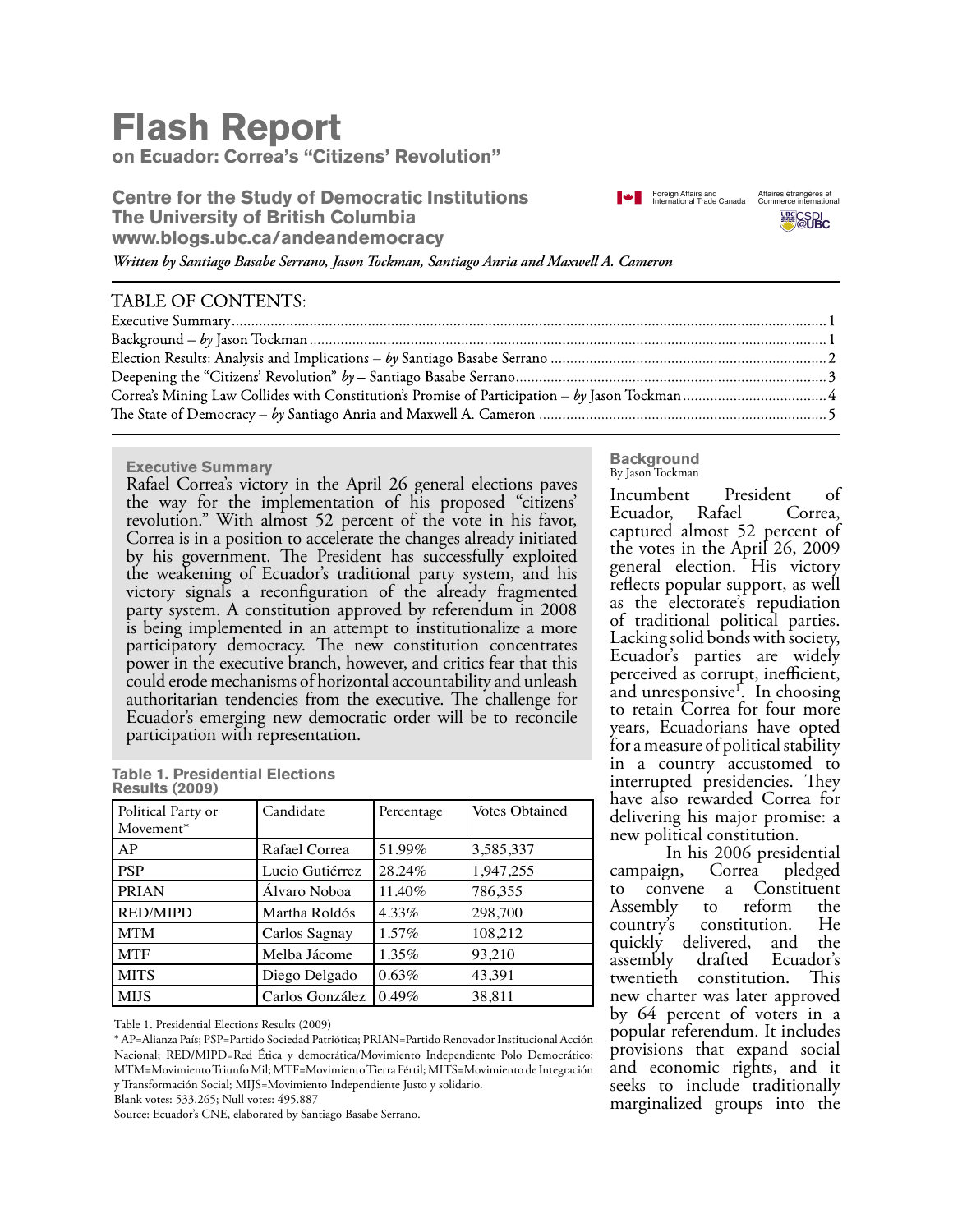# **Flash Report**

**on Ecuador: Correa's "Citizens' Revolution"**

**Centre for the Study of Democratic Institutions The University of British Columbia www.blogs.ubc.ca/andeandemocracy**





*Written by Santiago Basabe Serrano, Jason Tockman, Santiago Anria and Maxwell A. Cameron*

## TABLE OF CONTENTS:

### **Executive Summary**

Rafael Correa's victory in the April 26 general elections paves the way for the implementation of his proposed "citizens' revolution." With almost 52 percent of the vote in his favor, Correa is in a position to accelerate the changes already initiated by his government. The President has successfully exploited the weakening of Ecuador's traditional party system, and his victory signals a reconfiguration of the already fragmented party system. A constitution approved by referendum in 2008 is being implemented in an attempt to institutionalize a more participatory democracy. The new constitution concentrates power in the executive branch, however, and critics fear that this could erode mechanisms of horizontal accountability and unleash authoritarian tendencies from the executive. The challenge for Ecuador's emerging new democratic order will be to reconcile participation with representation.

|                       | <b>Table 1. Presidential Elections</b> |  |
|-----------------------|----------------------------------------|--|
| <b>Results (2009)</b> |                                        |  |

| Political Party or<br>Movement* | Candidate       | Percentage | <b>Votes Obtained</b> |
|---------------------------------|-----------------|------------|-----------------------|
| AP                              | Rafael Correa   | 51.99%     | 3,585,337             |
| <b>PSP</b>                      | Lucio Gutiérrez | 28.24%     | 1,947,255             |
| <b>PRIAN</b>                    | Álvaro Noboa    | 11.40%     | 786,355               |
| <b>RED/MIPD</b>                 | Martha Roldós   | 4.33%      | 298,700               |
| <b>MTM</b>                      | Carlos Sagnay   | $1.57\%$   | 108,212               |
| <b>MTF</b>                      | Melba Jácome    | $1.35\%$   | 93.210                |
| <b>MITS</b>                     | Diego Delgado   | 0.63%      | 43,391                |
| <b>MIJS</b>                     | Carlos González | 0.49%      | 38.811                |

Table 1. Presidential Elections Results (2009)

\* AP=Alianza País; PSP=Partido Sociedad Patriótica; PRIAN=Partido Renovador Institucional Acción Nacional; RED/MIPD=Red Ética y democrática/Movimiento Independiente Polo Democrático; MTM=Movimiento Triunfo Mil; MTF=Movimiento Tierra Fértil; MITS=Movimiento de Integración y Transformación Social; MIJS=Movimiento Independiente Justo y solidario.

Source: Ecuador's CNE, elaborated by Santiago Basabe Serrano.

#### **Background** By Jason Tockman

Incumbent President of<br>Ecuador, Rafael Correa, Ecuador, captured almost 52 percent of the votes in the April 26, 2009 general election. His victory reflects popular support, as well as the electorate's repudiation of traditional political parties. Lacking solid bonds with society, Ecuador's parties are widely perceived as corrupt, inefficient, and unresponsive<sup>1</sup>. In choosing<br>to retain Correa for four more years, Ecuadorians have opted for a measure of political stability in a country accustomed to interrupted presidencies. They have also rewarded Correa for delivering his major promise: a new political constitution.

In his 2006 presidential<br>campaign, Correa pledged Correa pledged to convene a Constituent Assembly to reform the<br>country's constitution. He constitution. quickly delivered, and the assembly drafted Ecuador's twentieth constitution. This new charter was later approved by 64 percent of voters in a popular referendum. It includes provisions that expand social and economic rights, and it seeks to include traditionally marginalized groups into the

Blank votes: 533.265; Null votes: 495.887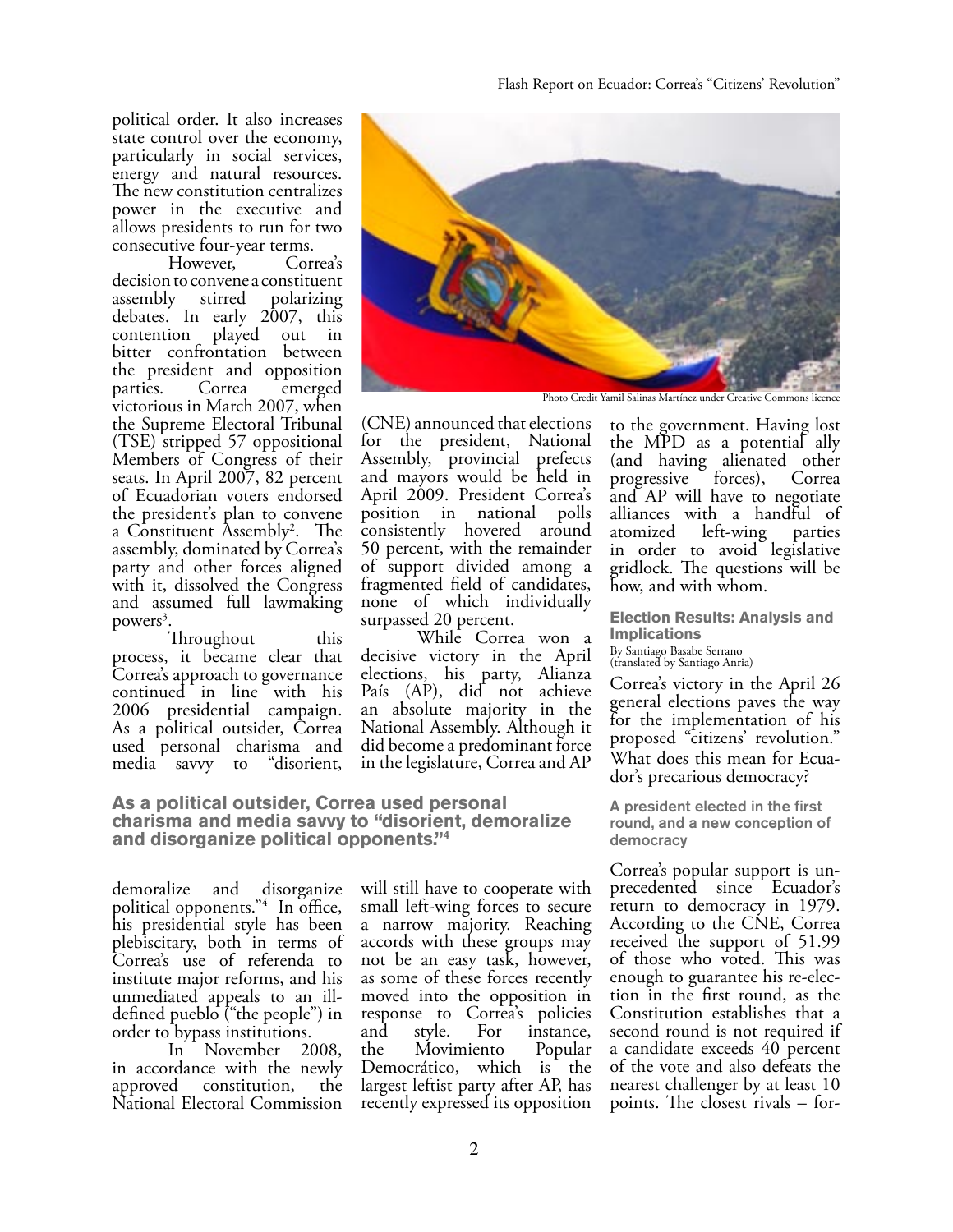political order. It also increases state control over the economy, particularly in social services, energy and natural resources. The new constitution centralizes power in the executive and allows presidents to run for two consecutive four-year terms.

However, decision to convene a constituent assembly stirred polarizing debates. In early 2007, this contention played out in bitter confrontation between the president and opposition parties. Correa emerged victorious in March 2007, when the Supreme Electoral Tribunal (TSE) stripped 57 oppositional Members of Congress of their seats. In April 2007, 82 percent of Ecuadorian voters endorsed the president's plan to convene a Constituent Assembly2 . The assembly, dominated by Correa's party and other forces aligned with it, dissolved the Congress and assumed full lawmaking powers<sup>3</sup>.

Throughout this process, it became clear that Correa's approach to governance continued in line with his 2006 presidential campaign. As a political outsider, Correa used personal charisma and<br>media savvy to "disorient, media savvy to



Photo Credit Yamil Salinas Martínez under Creative Commons licence

(CNE) announced that elections for the president, National Assembly, provincial prefects and mayors would be held in April 2009. President Correa's position in national polls consistently hovered around 50 percent, with the remainder of support divided among a fragmented field of candidates, none of which individually surpassed 20 percent.

 While Correa won a decisive victory in the April elections, his party, Alianza País (AP), did not achieve an absolute majority in the National Assembly. Although it did become a predominant force in the legislature, Correa and AP

**As a political outsider, Correa used personal charisma and media savvy to "disorient, demoralize and disorganize political opponents."4**

demoralize and disorganize political opponents."4 In office, his presidential style has been plebiscitary, both in terms of Correa's use of referenda to institute major reforms, and his unmediated appeals to an illdefined pueblo ("the people") in order to bypass institutions.

 In November 2008, in accordance with the newly approved constitution, the National Electoral Commission

will still have to cooperate with small left-wing forces to secure a narrow majority. Reaching accords with these groups may not be an easy task, however, as some of these forces recently moved into the opposition in response to Correa's policies<br>and style. For instance, and style. For instance,<br>the Movimiento Popular Movimiento Democrático, which is the largest leftist party after AP, has recently expressed its opposition

to the government. Having lost the MPD as a potential ally (and having alienated other<br>progressive forces), Correa  $progressive$  forces), and AP will have to negotiate alliances with a handful of<br>atomized left-wing parties atomized left-wing in order to avoid legislative gridlock. The questions will be how, and with whom.

**Election Results: Analysis and Implications**  By Santiago Basabe Serrano (translated by Santiago Anria)

Correa's victory in the April 26 general elections paves the way for the implementation of his proposed "citizens' revolution." What does this mean for Ecua-<br>dor's precarious democracy?

A president elected in the first round, and a new conception of democracy

Correa's popular support is un- precedented since Ecuador's return to democracy in 1979. According to the CNE, Correa received the support of 51.99 of those who voted. This was<br>enough to guarantee his re-election in the first round, as the Constitution establishes that a second round is not required if a candidate exceeds 40 percent of the vote and also defeats the nearest challenger by at least 10 points. The closest rivals – for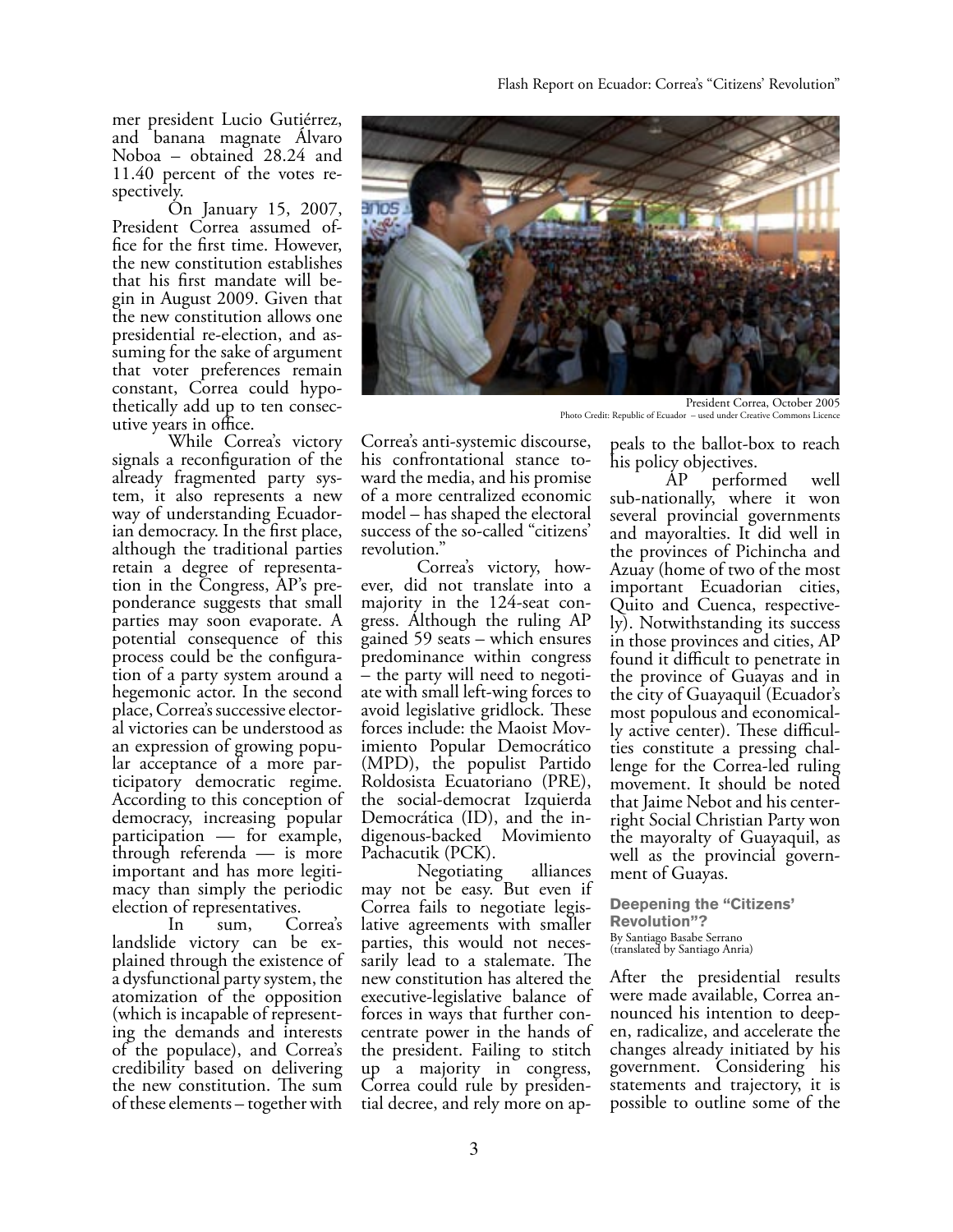mer president Lucio Gutiérrez, and banana magnate Álvaro Noboa – obtained 28.24 and 11.40 percent of the votes re- spectively.

 On January 15, 2007, President Correa assumed of-<br>fice for the first time. However, the new constitution establishes<br>that his first mandate will begin in August 2009. Given that the new constitution allows one<br>presidential re-election, and assuming for the sake of argument that voter preferences remain constant, Correa could hypo- thetically add up to ten consec- utive years in office.

 While Correa's victory signals a reconfiguration of the already fragmented party sys-<br>tem, it also represents a new<br>way of understanding Ecuadorian democracy. In the first place, although the traditional parties retain a degree of representa-<br>tion in the Congress, AP's pre-<br>ponderance suggests that small parties may soon evaporate. A potential consequence of this tion of a party system around a hegemonic actor. In the second place, Correa's successive elector- al victories can be understood as an expression of growing popu-<br>lar acceptance of a more par-<br>ticipatory democratic regime. According to this conception of democracy, increasing popular participation — for example, through referenda — is more important and has more legiti- macy than simply the periodic election of representatives.

 In sum, Correa's landslide victory can be ex- plained through the existence of a dysfunctional party system, the atomization of the opposition ing the demands and interests of the populace), and Correa's credibility based on delivering the new constitution. The sum of these elements – together with



President Correa, October 2005 Photo Credit: Republic of Ecuador – used under Creative Commons Licence

Correa's anti-systemic discourse, ward the media, and his promise of a more centralized economic model – has shaped the electoral success of the so-called "citizens'

revolution."<br>Correa's victory, however, did not translate into a majority in the 124-seat con- gress. Although the ruling AP gained 59 seats – which ensures predominance within congress – the party will need to negoti- ate with small left-wing forces to avoid legislative gridlock. These imiento Popular Democrático (MPD), the populist Partido Roldosista Ecuatoriano (PRE), the social-democrat Izquierda Democrática (ID), and the in- digenous-backed Movimiento Pachacutik (PCK).

 Negotiating alliances may not be easy. But even if<br>Correa fails to negotiate legislative agreements with smaller parties, this would not neces- sarily lead to a stalemate. The new constitution has altered the executive-legislative balance of centrate power in the hands of the president. Failing to stitch up a majority in congress, Correa could rule by presiden- tial decree, and rely more on ap-

peals to the ballot-box to reach his policy objectives.<br>AP perform

performed well sub-nationally, where it won several provincial governments and mayoralties. It did well in the provinces of Pichincha and Azuay (home of two of the most important Ecuadorian cities,<br>Quito and Cuenca, respectively). Notwithstanding its success in those provinces and cities, AP found it difficult to penetrate in the province of Guayas and in the city of Guayaquil (Ecuador's ly active center). These difficul-<br>ties constitute a pressing chal-<br>lenge for the Correa-led ruling movement. It should be noted that Jaime Nebot and his centerright Social Christian Party won the mayoralty of Guayaquil, as well as the provincial govern- ment of Guayas.

**Deepening the "Citizens' Revolution"?**  By Santiago Basabe Serrano (translated by Santiago Anria)

After the presidential results<br>were made available, Correa announced his intention to deep-<br>en, radicalize, and accelerate the changes already initiated by his government. Considering his statements and trajectory, it is possible to outline some of the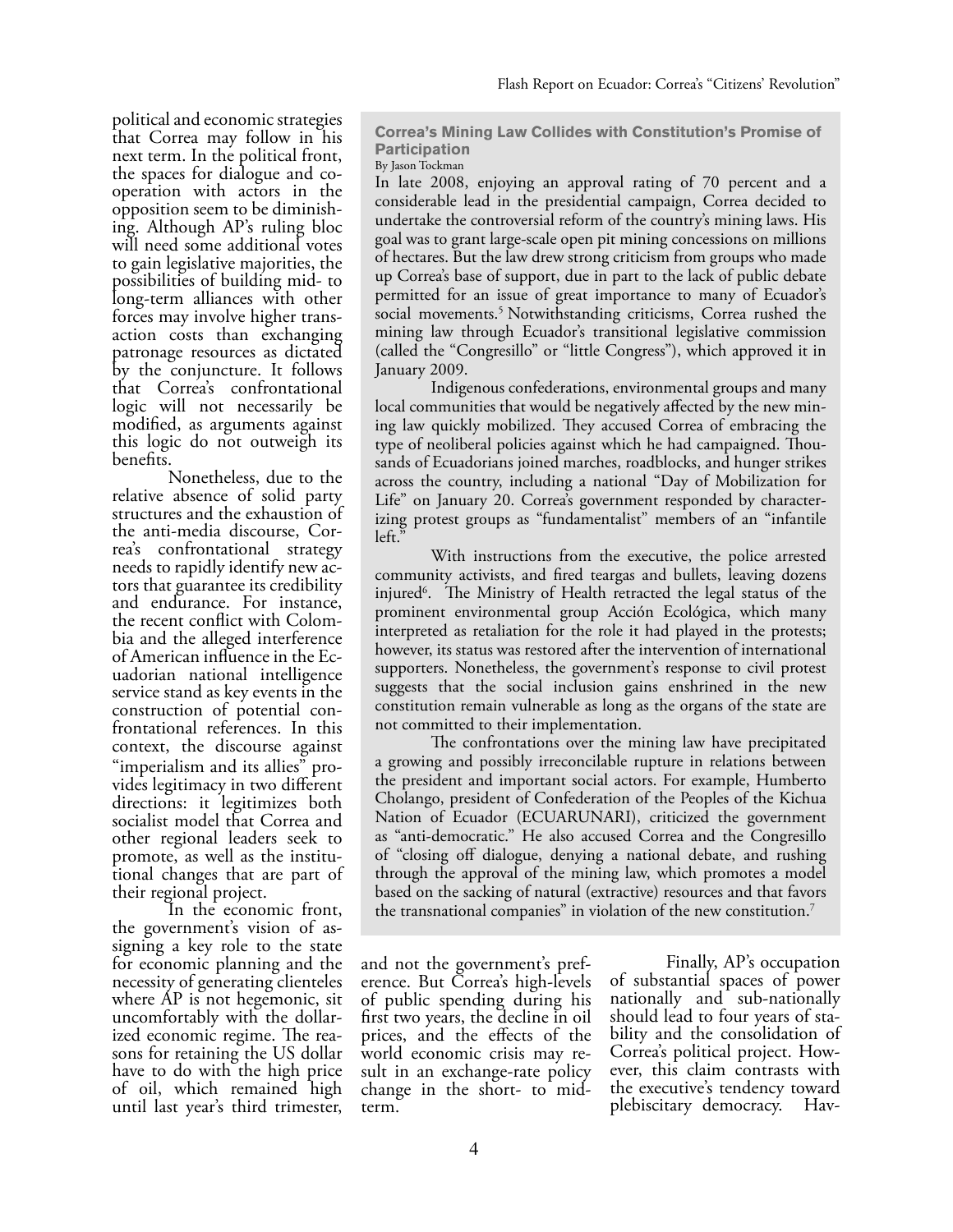political and economic strategies that Correa may follow in his next term. In the political front, the spaces for dialogue and co- operation with actors in the opposition seem to be diminish- ing. Although AP's ruling bloc will need some additional votes to gain legislative majorities, the possibilities of building mid- to long-term alliances with other forces may involve higher trans- action costs than exchanging patronage resources as dictated by the conjuncture. It follows that Correa's confrontational logic will not necessarily be modified, as arguments against this logic do not outweigh its benefits.

 Nonetheless, due to the relative absence of solid party structures and the exhaustion of<br>the anti-media discourse, Correa's confrontational strategy<br>needs to rapidly identify new actors that guarantee its credibility and endurance. For instance, the recent conflict with Colom-<br>bia and the alleged interference<br>of American influence in the Ecuadorian national intelligence service stand as key events in the<br>construction of potential confrontational references. In this context, the discourse against "imperialism and its allies" pro- vides legitimacy in two different directions: it legitimizes both socialist model that Correa and other regional leaders seek to promote, as well as the institu- tional changes that are part of their regional project.

 In the economic front, the government's vision of as- signing a key role to the state for economic planning and the necessity of generating clienteles where AP is not hegemonic, sit uncomfortably with the dollar-<br>ized economic regime. The rea-<br>sons for retaining the US dollar have to do with the high price of oil, which remained high until last year's third trimester,

**Correa's Mining Law Collides with Constitution's Promise of Participation** 

By Jason Tockman

In late 2008, enjoying an approval rating of 70 percent and a considerable lead in the presidential campaign, Correa decided to undertake the controversial reform of the country's mining laws. His goal was to grant large-scale open pit mining concessions on millions of hectares. But the law drew strong criticism from groups who made up Correa's base of support, due in part to the lack of public debate permitted for an issue of great importance to many of Ecuador's social movements.<sup>5</sup> Notwithstanding criticisms, Correa rushed the mining law through Ecuador's transitional legislative commission (called the "Congresillo" or "little Congress"), which approved it in January 2009.

 Indigenous confederations, environmental groups and many local communities that would be negatively affected by the new mining law quickly mobilized. They accused Correa of embracing the type of neoliberal policies against which he had campaigned. Thousands of Ecuadorians joined marches, roadblocks, and hunger strikes across the country, including a national "Day of Mobilization for Life" on January 20. Correa's government responded by characterizing protest groups as "fundamentalist" members of an "infantile left."

 With instructions from the executive, the police arrested community activists, and fired teargas and bullets, leaving dozens injured6 . The Ministry of Health retracted the legal status of the prominent environmental group Acción Ecológica, which many interpreted as retaliation for the role it had played in the protests; however, its status was restored after the intervention of international supporters. Nonetheless, the government's response to civil protest suggests that the social inclusion gains enshrined in the new constitution remain vulnerable as long as the organs of the state are not committed to their implementation.

 The confrontations over the mining law have precipitated a growing and possibly irreconcilable rupture in relations between the president and important social actors. For example, Humberto Cholango, president of Confederation of the Peoples of the Kichua Nation of Ecuador (ECUARUNARI), criticized the government as "anti-democratic." He also accused Correa and the Congresillo of "closing off dialogue, denying a national debate, and rushing through the approval of the mining law, which promotes a model based on the sacking of natural (extractive) resources and that favors the transnational companies" in violation of the new constitution.<sup>7</sup>

and not the government's pref- erence. But Correa's high-levels of public spending during his first two years, the decline in oil prices, and the effects of the world economic crisis may re- sult in an exchange-rate policy change in the short- to midterm.

 Finally, AP's occupation of substantial spaces of power nationally and sub-nationally should lead to four years of sta- bility and the consolidation of Correa's political project. How- ever, this claim contrasts with the executive's tendency toward plebiscitary democracy. Hav